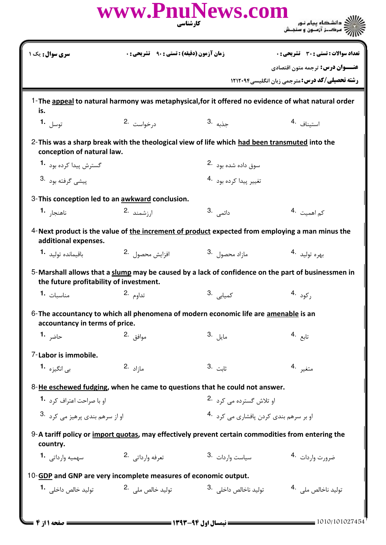|                                                                 | کارشناسی                                               | www.PnuNews.com                                                                                   |                                                                                                    |
|-----------------------------------------------------------------|--------------------------------------------------------|---------------------------------------------------------------------------------------------------|----------------------------------------------------------------------------------------------------|
| سری سوال: یک ۱                                                  | <b>زمان آزمون (دقیقه) : تستی : 90 ٪ تشریحی : 0</b>     |                                                                                                   | تعداد سوالات : تستى : 30 - تشريحي : 0                                                              |
|                                                                 |                                                        |                                                                                                   | <b>عنـــوان درس:</b> ترجمه متون اقتصادي                                                            |
|                                                                 |                                                        |                                                                                                   | <b>رشته تحصیلی/کد درس: مترجمی زبان انگلیسی 1212041</b>                                             |
| is.                                                             |                                                        |                                                                                                   | 1-The appeal to natural harmony was metaphysical, for it offered no evidence of what natural order |
| توسل 1.                                                         | درخواست 2.                                             | جذبه .3                                                                                           | 4. استيناف                                                                                         |
| conception of natural law.                                      |                                                        | 2-This was a sharp break with the theological view of life which had been transmuted into the     |                                                                                                    |
| گسترش پیدا کرده بود <sup>1</sup> ۰                              |                                                        | سوق داده شده بود 2.                                                                               |                                                                                                    |
| ییشے گرفته بود <sup>.3</sup>                                    |                                                        | تغيير پيدا كرده بود 4.                                                                            |                                                                                                    |
| 3-This conception led to an awkward conclusion.                 |                                                        |                                                                                                   |                                                                                                    |
| ناهنجا, 1۰                                                      | ارزشمند 2.                                             | دائم <i>ی</i> .3                                                                                  | ک <sub>م اهمیت</sub> .4                                                                            |
| additional expenses.                                            |                                                        |                                                                                                   | 4-Next product is the value of the increment of product expected from employing a man minus the    |
| باقيمانده توليد <b>1</b> ۰                                      | افزايش محصول 2.                                        | $3.$ مازاد محصول                                                                                  | بهره توليد 4.                                                                                      |
| the future profitability of investment.                         |                                                        |                                                                                                   | 5-Marshall allows that a slump may be caused by a lack of confidence on the part of businessmen in |
| مناسىات -1                                                      | تداوم .2                                               | 3. كميابى <mark>.</mark>                                                                          | رکود .4                                                                                            |
| accountancy in terms of price.                                  |                                                        | 6-The accountancy to which all phenomena of modern economic life are amenable is an               |                                                                                                    |
| 1. حاضر                                                         | موافق 2.                                               | مايل .3                                                                                           | تابع .4                                                                                            |
| 7-Labor is immobile.                                            |                                                        |                                                                                                   |                                                                                                    |
| ب <sub>ی</sub> انگیزہ <b>1</b> ۰                                | $2.3$ ما;اد                                            | 3. ثابت                                                                                           | متغير .4                                                                                           |
|                                                                 |                                                        | 8-He eschewed fudging, when he came to questions that he could not answer.                        |                                                                                                    |
| او با صراحت اعتراف کرد <b>1</b> ۰                               |                                                        | او تلاش گسترده می کرد 2.                                                                          |                                                                                                    |
| او از سرهم بندی پرهيز مي کرد .3                                 |                                                        | او بر سرهم بندی کردن پافشاری می کرد 4.                                                            |                                                                                                    |
| country.                                                        |                                                        | 9-A tariff policy or import quotas, may effectively prevent certain commodities from entering the |                                                                                                    |
| سهمیه وارداتی 1.                                                | تعرفه وارداتي 2.                                       | سیاست واردات 3.                                                                                   | ضرورت واردات 4.                                                                                    |
| 10-GDP and GNP are very incomplete measures of economic output. |                                                        |                                                                                                   |                                                                                                    |
|                                                                 | توليد خالص ملي <sup>.2</sup> توليد خالص داخلي <b>1</b> | توليد ناخالص داخلي <sup>.3</sup>                                                                  | توليد ناخالص ملي . 4                                                                               |
|                                                                 |                                                        |                                                                                                   |                                                                                                    |
| $\blacktriangleright$ 11 مفحه 11: 4                             |                                                        | ـــــــــــــــ نيمسال اول ۹۴- ۱۳۹۳ - -                                                           | 1010/101027454                                                                                     |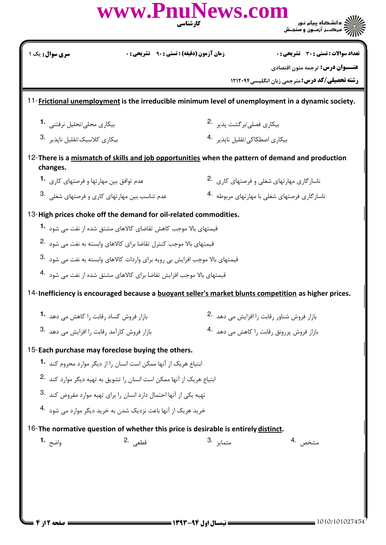| <b>سری سوال :</b> یک ۱                                                                                                                              | <b>زمان آزمون (دقیقه) : تستی : 90 ٪ تشریحی : 0</b>                                |                                            | تعداد سوالات : تستي : 30 ٪ تشريحي : 0                                                                       |
|-----------------------------------------------------------------------------------------------------------------------------------------------------|-----------------------------------------------------------------------------------|--------------------------------------------|-------------------------------------------------------------------------------------------------------------|
|                                                                                                                                                     |                                                                                   |                                            | <b>عنـــوان درس:</b> ترجمه متون اقتصادي<br><b>رشته تحصیلی/کد درس: مترجمی زبان انگلیسی4۲۱۲۰۹۴</b>            |
|                                                                                                                                                     |                                                                                   |                                            | 11-Frictional unemployment is the irreducible minimum level of unemployment in a dynamic society.           |
| بیکاری محلی/تحلیل نرفتنی 1.                                                                                                                         |                                                                                   | بیکاری فصل <i>ی اب</i> ر گشت یذیر 2.       |                                                                                                             |
| بیکا <sub>د</sub> ی کلاسیک/تقلیل ناپذیر <sup>3</sup> ۰                                                                                              |                                                                                   | بیکاری اصطکاکی/تقلیل ناپذیر <sup>4</sup> ۰ |                                                                                                             |
|                                                                                                                                                     |                                                                                   |                                            | 12-There is a mismatch of skills and job opportunities when the pattern of demand and production            |
| changes.<br>عدم توافق بین مهارتها و فرصتهای کا <sub>ر</sub> ی <b>1</b> ۰                                                                            |                                                                                   |                                            | ناسازگاری مهارتهای شغلی و فرصتهای کاری .2                                                                   |
| عدم تناسب بین مهارتهای کاری و فرصتهای شغلی .3                                                                                                       |                                                                                   |                                            | ناساز گاری فرصتهای شغلی با مهارتهای مربوطه <sup>4</sup> ۰                                                   |
| 13-High prices choke off the demand for oil-related commodities.                                                                                    |                                                                                   |                                            |                                                                                                             |
|                                                                                                                                                     | قیمتهای بالا موجب کاهش تقاضای کالاهای مشتق شده از نفت می شود <b>1</b>             |                                            |                                                                                                             |
| قیمتهای بالا موجب کنترل تقاضا برای کالاهای وابسته به نفت می شود .2                                                                                  |                                                                                   |                                            |                                                                                                             |
| قیمتهای بالا موجب افزایش بی رویه برای واردات کالاهای وابسته به نفت می شود <sup>.3</sup>                                                             |                                                                                   |                                            |                                                                                                             |
|                                                                                                                                                     | قیمتهای بالا موجب افزایش تقاضا برای کالاهای مشتق شده از نفت مے, شود <sup>.4</sup> |                                            |                                                                                                             |
|                                                                                                                                                     |                                                                                   |                                            | 14-Inefficiency is encouraged because a <b>buoyant seller's market blunts competition</b> as higher prices. |
| بازار فروش کساد رقابت ,ا کاهش مے دهد 1.                                                                                                             |                                                                                   |                                            | بازار فروش شناور رقابت را افزایش مے ,دھدے 2.                                                                |
| بازار فروش كارآمد رقابت را افزايش مى دهد .3                                                                                                         |                                                                                   |                                            | بازار فروش پررونق رقابت را کاهش مے, دهد 4.                                                                  |
| 15-Each purchase may foreclose buying the others.                                                                                                   |                                                                                   |                                            |                                                                                                             |
|                                                                                                                                                     | ابتیاع هریک از آنها ممکن است انسان ,ا از دیگر موارد محروم کند <b>1۰</b>           |                                            |                                                                                                             |
|                                                                                                                                                     |                                                                                   |                                            |                                                                                                             |
|                                                                                                                                                     |                                                                                   |                                            |                                                                                                             |
| ابتیاع هریک از آنها ممکن است انسان را تشویق به تهیه دیگر موارد کند <sup>.2</sup>                                                                    |                                                                                   |                                            |                                                                                                             |
| تهیه یکی از آنها احتمال دارد انسان را برای تهیه موارد مقروض کند .3                                                                                  |                                                                                   |                                            |                                                                                                             |
| خرید هریک از آنها باعث نزدیک شدن به خرید دیگر موارد می شود 4.<br>16-The normative question of whether this price is desirable is entirely distinct. |                                                                                   |                                            |                                                                                                             |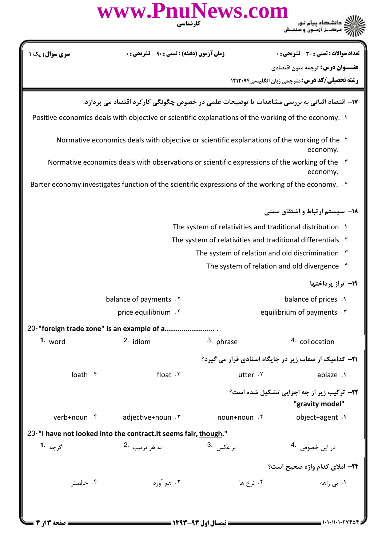|                                                                                                                        | www.PnuNews.com<br>کار شناسی                                                               |                                                            |                                                                     |  |  |
|------------------------------------------------------------------------------------------------------------------------|--------------------------------------------------------------------------------------------|------------------------------------------------------------|---------------------------------------------------------------------|--|--|
| <b>سری سوال :</b> یک ۱                                                                                                 | <b>زمان آزمون (دقیقه) : تستی : ۹۰</b>                                                      |                                                            | <b>تعداد سوالات : تستی : 30 ٪ تشریحی : 0</b>                        |  |  |
|                                                                                                                        |                                                                                            |                                                            | <b>عنـــوان درس:</b> ترجمه متون اقتصادي                             |  |  |
|                                                                                                                        |                                                                                            |                                                            | <b>رشته تحصیلی/کد درس: مترجمی زبان انگلیسی1۲۱۲۰۹۴</b>               |  |  |
|                                                                                                                        | ۱۷– اقتصاد اثباتی به بررسی مشاهدات یا توضیحات علمی در خصوص چگونگی کارکرد اقتصاد می پردازد. |                                                            |                                                                     |  |  |
| 1. Positive economics deals with objective or scientific explanations of the working of the economy.                   |                                                                                            |                                                            |                                                                     |  |  |
| Normative economics deals with objective or scientific explanations of the working of the $\cdot$<br>economy.          |                                                                                            |                                                            |                                                                     |  |  |
| Normative economics deals with observations or scientific expressions of the working of the . T<br>economy.            |                                                                                            |                                                            |                                                                     |  |  |
| Barter economy investigates function of the scientific expressions of the working of the economy. $\cdot$ <sup>6</sup> |                                                                                            |                                                            |                                                                     |  |  |
|                                                                                                                        |                                                                                            |                                                            | ۱۸− سیستم ارتباط و اشتقاق سنتی                                      |  |  |
|                                                                                                                        |                                                                                            | The system of relativities and traditional distribution .1 |                                                                     |  |  |
| The system of relativities and traditional differentials . Y                                                           |                                                                                            |                                                            |                                                                     |  |  |
|                                                                                                                        |                                                                                            |                                                            |                                                                     |  |  |
|                                                                                                                        |                                                                                            |                                                            | The system of relation and old divergence. f                        |  |  |
|                                                                                                                        |                                                                                            |                                                            | 1۹– تراز پرداختها                                                   |  |  |
|                                                                                                                        | balance of payments . Y                                                                    |                                                            | balance of prices .1                                                |  |  |
|                                                                                                                        | price equilibrium . f                                                                      |                                                            | equilibrium of payments . \v.                                       |  |  |
|                                                                                                                        | 20-"foreign trade zone" is an example of a                                                 |                                                            |                                                                     |  |  |
| 1. word                                                                                                                | 2. idiom                                                                                   | 3. phrase                                                  | 4. collocation                                                      |  |  |
|                                                                                                                        |                                                                                            |                                                            | <b>۲۱</b> - کدامیک از صفات زیر در جایگاه اسنادی قرار می گیرد؟       |  |  |
| loath . ۴                                                                                                              | float $.7$                                                                                 | utter .Y                                                   | ablaze .1                                                           |  |  |
|                                                                                                                        |                                                                                            |                                                            | <b>۲۲-</b> ترکیب زیر از چه اجزایی تشکیل شده است؟<br>"gravity model" |  |  |
| verb+noun .۴                                                                                                           | adjective+noun . ٣                                                                         | noun+noun .Y                                               | object+agent .1                                                     |  |  |
| 23-"I have not looked into the contract. It seems fair, though."                                                       |                                                                                            |                                                            |                                                                     |  |  |
| اگرچه <b>1۰</b>                                                                                                        | به هر ترتيب 2.                                                                             | بر عكس <sup>3.</sup>                                       | در این خصوص <sup>4</sup> ۰                                          |  |  |
|                                                                                                                        |                                                                                            |                                                            | ٢۴- املای کدام واژه صحیح است؟                                       |  |  |
| ۰۴ خالصتر                                                                                                              | ۰۳ هم آورد                                                                                 | ۰۲ نرخ ها                                                  | ۰۱ بے راهه                                                          |  |  |
|                                                                                                                        |                                                                                            |                                                            |                                                                     |  |  |